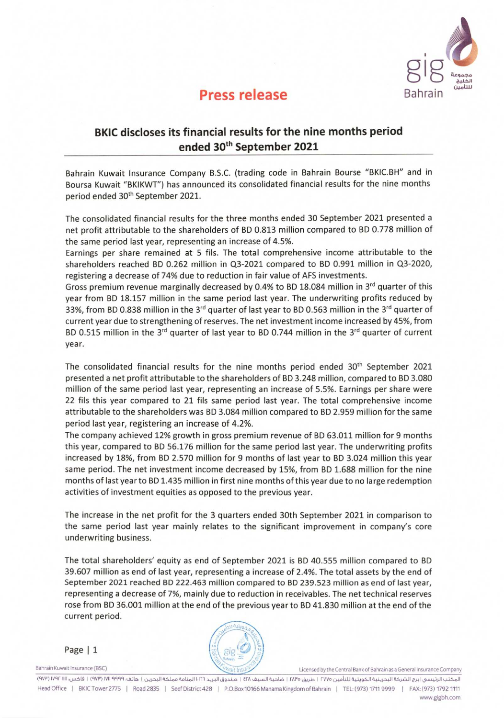

## **Press release**

## **BKIC discloses its financial results for the nine months period ended 30th September 2021**

Bahrain Kuwait Insurance Company B.S.C. (trading code in Bahrain Bourse "BKIC.BH" and in Boursa Kuwait "BKIKWT") has announced its consolidated financial results for the nine months period ended 30<sup>th</sup> September 2021.

The consolidated financial results for the three months ended 30 September 2021 presented a net profit attributable to the shareholders of BD 0.813 million compared to BD 0.778 million of the same period last year, representing an increase of 4.5%.

Earnings per share remained at 5 fils. The total comprehensive income attributable to the shareholders reached BD 0.262 million in 03-2021 compared to BD 0.991 million in 03-2020, registering a decrease of 74% due to reduction in fair value of AFS investments.

Gross premium revenue marginally decreased by 0.4% to BD 18.084 million in 3<sup>rd</sup> quarter of this year from BD 18.157 million in the same period last year. The underwriting profits reduced by 33%, from BD 0.838 million in the 3<sup>rd</sup> quarter of last year to BD 0.563 million in the 3<sup>rd</sup> quarter of current year due to strengthening of reserves. The net investment income increased by 45%, from BD 0.515 million in the  $3<sup>rd</sup>$  quarter of last year to BD 0.744 million in the  $3<sup>rd</sup>$  quarter of current year.

The consolidated financial results for the nine months period ended  $30<sup>th</sup>$  September 2021 presented a net profit attributable to the shareholders of BD 3.248 million, compared to BD 3.080 million of the same period last year, representing an increase of 5.5%. Earnings per share were 22 fils this year compared to 21 fils same period last year. The total comprehensive income attributable to the shareholders was BD 3.084 million compared to BD 2.959 million for the same period last year, registering an increase of 4.2%.

The company achieved 12% growth in gross premium revenue of BD 63.011 million for 9 months this year, compared to BD 56.176 million for the same period last year. The underwriting profits increased by 18%, from BD 2.570 million for 9 months of last year to BD 3.024 million this year same period. The net investment income decreased by 15%, from BD 1.688 million for the nine months of last year to BD 1.435 million in first nine months of this year due to no large redemption activities of investment equities as opposed to the previous year.

The increase in the net profit for the 3 quarters ended 30th September 2021 in comparison to the same period last year mainly relates to the significant improvement in company's core underwriting business.

The total shareholders' equity as end of September 2021 is BD 40.555 million compared to BD 39.607 million as end of last year, representing a increase of 2.4%. The total assets by the end of September 2021 reached BD 222.463 million compared to BD 239.523 million as end of last year, representing a decrease of 7%, mainly due to reduction in receivables. The net technical reserves rose from BD 36.001 million at the end of the previous year to BD 41.830 million at the end of the current period.

Page | 1



Bahrain Kuwait Insurance (BSC) Licensed by the Central Bank of Bahrain as a General Insurance Company

(9V1')IV,11- 1111 :,.)..u\_sL9 I (9VW) !VII TIclq :Liar, I k>,.. .. )\_\_N.J1qS1.0EL.Li,.11 1.111 ,..1).41,§9,L.,. I El-A q.4.La I fAl"o 0.40. I . rvvo 04,01.th 4.4.4.9.sm Head Office | BKIC Tower 2775 | Road 2835 | Seef District 428 | P.O.Box 10166 Manama Kingdom of Bahrain | TEL: (973) 1711 9999 | FAX: (973) 1792 1111 www.gigbh.com